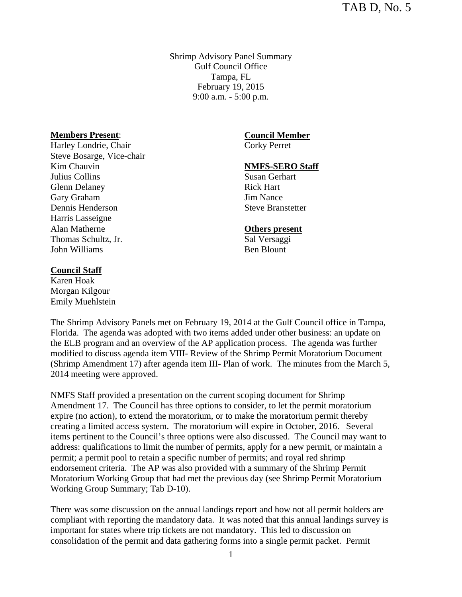Shrimp Advisory Panel Summary Gulf Council Office Tampa, FL February 19, 2015 9:00 a.m. - 5:00 p.m.

#### **Members Present**:

Harley Londrie, Chair Steve Bosarge, Vice-chair Kim Chauvin Julius Collins Glenn Delaney Gary Graham Dennis Henderson Harris Lasseigne Alan Matherne Thomas Schultz, Jr. John Williams

# **Council Member**

Corky Perret

#### **NMFS-SERO Staff**

Susan Gerhart Rick Hart Jim Nance Steve Branstetter

### **Others present**

Sal Versaggi Ben Blount

#### **Council Staff**

Karen Hoak Morgan Kilgour Emily Muehlstein

The Shrimp Advisory Panels met on February 19, 2014 at the Gulf Council office in Tampa, Florida. The agenda was adopted with two items added under other business: an update on the ELB program and an overview of the AP application process. The agenda was further modified to discuss agenda item VIII- Review of the Shrimp Permit Moratorium Document (Shrimp Amendment 17) after agenda item III- Plan of work. The minutes from the March 5, 2014 meeting were approved.

NMFS Staff provided a presentation on the current scoping document for Shrimp Amendment 17. The Council has three options to consider, to let the permit moratorium expire (no action), to extend the moratorium, or to make the moratorium permit thereby creating a limited access system. The moratorium will expire in October, 2016. Several items pertinent to the Council's three options were also discussed. The Council may want to address: qualifications to limit the number of permits, apply for a new permit, or maintain a permit; a permit pool to retain a specific number of permits; and royal red shrimp endorsement criteria. The AP was also provided with a summary of the Shrimp Permit Moratorium Working Group that had met the previous day (see Shrimp Permit Moratorium Working Group Summary; Tab D-10).

There was some discussion on the annual landings report and how not all permit holders are compliant with reporting the mandatory data. It was noted that this annual landings survey is important for states where trip tickets are not mandatory. This led to discussion on consolidation of the permit and data gathering forms into a single permit packet. Permit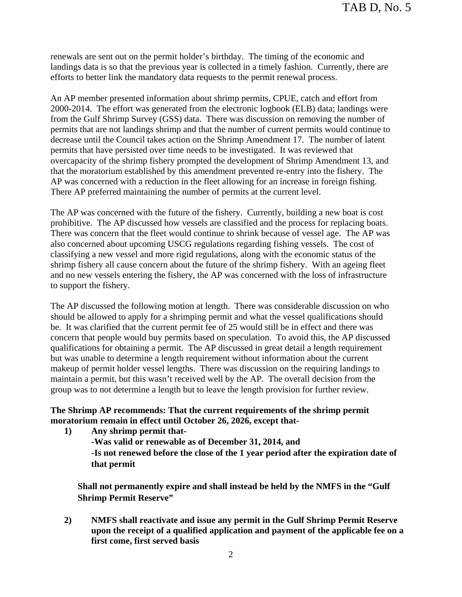renewals are sent out on the permit holder's birthday. The timing of the economic and landings data is so that the previous year is collected in a timely fashion. Currently, there are efforts to better link the mandatory data requests to the permit renewal process.

An AP member presented information about shrimp permits, CPUE, catch and effort from 2000-2014. The effort was generated from the electronic logbook (ELB) data; landings were from the Gulf Shrimp Survey (GSS) data. There was discussion on removing the number of permits that are not landings shrimp and that the number of current permits would continue to decrease until the Council takes action on the Shrimp Amendment 17. The number of latent permits that have persisted over time needs to be investigated. It was reviewed that overcapacity of the shrimp fishery prompted the development of Shrimp Amendment 13, and that the moratorium established by this amendment prevented re-entry into the fishery. The AP was concerned with a reduction in the fleet allowing for an increase in foreign fishing. There AP preferred maintaining the number of permits at the current level.

The AP was concerned with the future of the fishery. Currently, building a new boat is cost prohibitive. The AP discussed how vessels are classified and the process for replacing boats. There was concern that the fleet would continue to shrink because of vessel age. The AP was also concerned about upcoming USCG regulations regarding fishing vessels. The cost of classifying a new vessel and more rigid regulations, along with the economic status of the shrimp fishery all cause concern about the future of the shrimp fishery. With an ageing fleet and no new vessels entering the fishery, the AP was concerned with the loss of infrastructure to support the fishery.

The AP discussed the following motion at length. There was considerable discussion on who should be allowed to apply for a shrimping permit and what the vessel qualifications should be. It was clarified that the current permit fee of 25 would still be in effect and there was concern that people would buy permits based on speculation. To avoid this, the AP discussed qualifications for obtaining a permit. The AP discussed in great detail a length requirement but was unable to determine a length requirement without information about the current makeup of permit holder vessel lengths. There was discussion on the requiring landings to maintain a permit, but this wasn't received well by the AP. The overall decision from the group was to not determine a length but to leave the length provision for further review.

# **The Shrimp AP recommends: That the current requirements of the shrimp permit moratorium remain in effect until October 26, 2026, except that-**

**1) Any shrimp permit that-** 

**-Was valid or renewable as of December 31, 2014, and -Is not renewed before the close of the 1 year period after the expiration date of that permit** 

**Shall not permanently expire and shall instead be held by the NMFS in the "Gulf Shrimp Permit Reserve"** 

**2) NMFS shall reactivate and issue any permit in the Gulf Shrimp Permit Reserve upon the receipt of a qualified application and payment of the applicable fee on a first come, first served basis**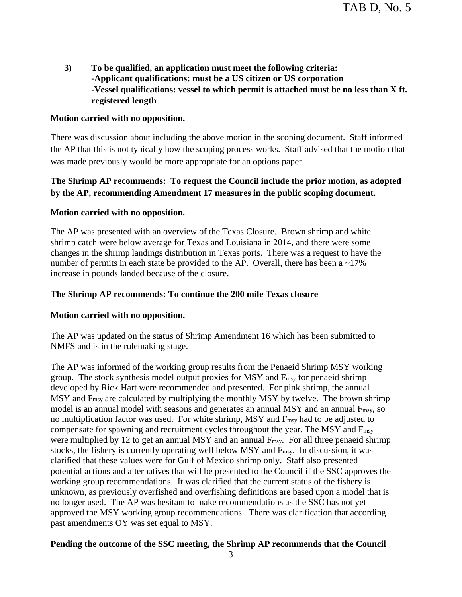# **3) To be qualified, an application must meet the following criteria: -Applicant qualifications: must be a US citizen or US corporation -Vessel qualifications: vessel to which permit is attached must be no less than X ft. registered length**

## **Motion carried with no opposition.**

There was discussion about including the above motion in the scoping document. Staff informed the AP that this is not typically how the scoping process works. Staff advised that the motion that was made previously would be more appropriate for an options paper.

# **The Shrimp AP recommends: To request the Council include the prior motion, as adopted by the AP, recommending Amendment 17 measures in the public scoping document.**

# **Motion carried with no opposition.**

The AP was presented with an overview of the Texas Closure. Brown shrimp and white shrimp catch were below average for Texas and Louisiana in 2014, and there were some changes in the shrimp landings distribution in Texas ports. There was a request to have the number of permits in each state be provided to the AP. Overall, there has been a ~17% increase in pounds landed because of the closure.

# **The Shrimp AP recommends: To continue the 200 mile Texas closure**

## **Motion carried with no opposition.**

The AP was updated on the status of Shrimp Amendment 16 which has been submitted to NMFS and is in the rulemaking stage.

The AP was informed of the working group results from the Penaeid Shrimp MSY working group. The stock synthesis model output proxies for MSY and  $F_{\text{msy}}$  for penaeid shrimp developed by Rick Hart were recommended and presented. For pink shrimp, the annual  $MSY$  and  $F_{\text{msy}}$  are calculated by multiplying the monthly MSY by twelve. The brown shrimp model is an annual model with seasons and generates an annual MSY and an annual F<sub>msy</sub>, so no multiplication factor was used. For white shrimp, MSY and F<sub>msy</sub> had to be adjusted to compensate for spawning and recruitment cycles throughout the year. The MSY and  $F_{\text{msy}}$ were multiplied by 12 to get an annual MSY and an annual  $F_{\text{msy}}$ . For all three penaeid shrimp stocks, the fishery is currently operating well below MSY and  $F_{\text{msy}}$ . In discussion, it was clarified that these values were for Gulf of Mexico shrimp only. Staff also presented potential actions and alternatives that will be presented to the Council if the SSC approves the working group recommendations. It was clarified that the current status of the fishery is unknown, as previously overfished and overfishing definitions are based upon a model that is no longer used. The AP was hesitant to make recommendations as the SSC has not yet approved the MSY working group recommendations. There was clarification that according past amendments OY was set equal to MSY.

## **Pending the outcome of the SSC meeting, the Shrimp AP recommends that the Council**